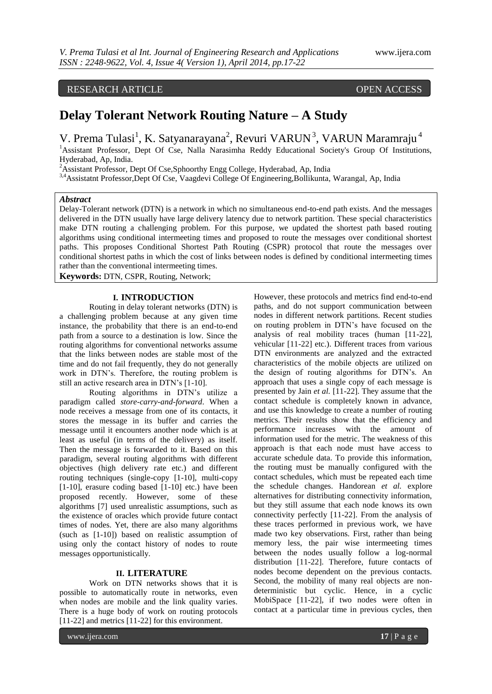RESEARCH ARTICLE OPEN ACCESS

# **Delay Tolerant Network Routing Nature – A Study**

V. Prema Tulasi<sup>1</sup>, K. Satyanarayana<sup>2</sup>, Revuri VARUN<sup>3</sup>, VARUN Maramraju<sup>4</sup> <sup>1</sup>Assistant Professor, Dept Of Cse, Nalla Narasimha Reddy Educational Society's Group Of Institutions, Hyderabad, Ap, India.

<sup>2</sup>Assistant Professor, Dept Of Cse, Sphoorthy Engg College, Hyderabad, Ap, India

<sup>3,4</sup>Assistatnt Professor,Dept Of Cse, Vaagdevi College Of Engineering,Bollikunta, Warangal, Ap, India

#### *Abstract*

Delay-Tolerant network (DTN) is a network in which no simultaneous end-to-end path exists. And the messages delivered in the DTN usually have large delivery latency due to network partition. These special characteristics make DTN routing a challenging problem. For this purpose, we updated the shortest path based routing algorithms using conditional intermeeting times and proposed to route the messages over conditional shortest paths. This proposes Conditional Shortest Path Routing (CSPR) protocol that route the messages over conditional shortest paths in which the cost of links between nodes is defined by conditional intermeeting times rather than the conventional intermeeting times.

**Keywords:** DTN, CSPR, Routing, Network;

## **I. INTRODUCTION**

Routing in delay tolerant networks (DTN) is a challenging problem because at any given time instance, the probability that there is an end-to-end path from a source to a destination is low. Since the routing algorithms for conventional networks assume that the links between nodes are stable most of the time and do not fail frequently, they do not generally work in DTN's. Therefore, the routing problem is still an active research area in DTN's [1-10].

Routing algorithms in DTN's utilize a paradigm called *store-carry-and-forward*. When a node receives a message from one of its contacts, it stores the message in its buffer and carries the message until it encounters another node which is at least as useful (in terms of the delivery) as itself. Then the message is forwarded to it. Based on this paradigm, several routing algorithms with different objectives (high delivery rate etc.) and different routing techniques (single-copy [1-10], multi-copy [1-10], erasure coding based [1-10] etc.) have been proposed recently. However, some of these algorithms [7] used unrealistic assumptions, such as the existence of oracles which provide future contact times of nodes. Yet, there are also many algorithms (such as [1-10]) based on realistic assumption of using only the contact history of nodes to route messages opportunistically.

### **II. LITERATURE**

Work on DTN networks shows that it is possible to automatically route in networks, even when nodes are mobile and the link quality varies. There is a huge body of work on routing protocols [11-22] and metrics [11-22] for this environment.

paths, and do not support communication between nodes in different network partitions. Recent studies on routing problem in DTN's have focused on the analysis of real mobility traces (human [11-22], vehicular [11-22] etc.). Different traces from various DTN environments are analyzed and the extracted characteristics of the mobile objects are utilized on the design of routing algorithms for DTN's. An approach that uses a single copy of each message is presented by Jain *et al.* [11-22]. They assume that the contact schedule is completely known in advance, and use this knowledge to create a number of routing metrics. Their results show that the efficiency and performance increases with the amount of information used for the metric. The weakness of this approach is that each node must have access to accurate schedule data. To provide this information, the routing must be manually configured with the contact schedules, which must be repeated each time the schedule changes. Handorean *et al.* explore alternatives for distributing connectivity information, but they still assume that each node knows its own connectivity perfectly [11-22]. From the analysis of these traces performed in previous work, we have made two key observations. First, rather than being memory less, the pair wise intermeeting times between the nodes usually follow a log-normal distribution [11-22]. Therefore, future contacts of nodes become dependent on the previous contacts. Second, the mobility of many real objects are nondeterministic but cyclic. Hence, in a cyclic MobiSpace [11-22], if two nodes were often in contact at a particular time in previous cycles, then

However, these protocols and metrics find end-to-end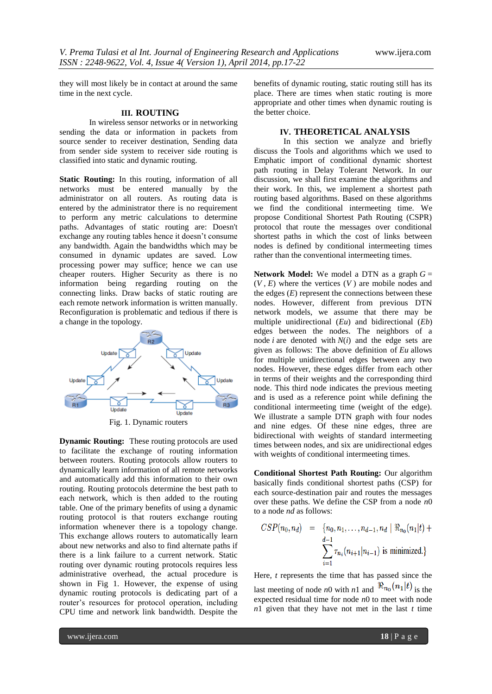they will most likely be in contact at around the same time in the next cycle.

# **III. ROUTING**

In wireless sensor networks or in networking sending the data or information in packets from source sender to receiver destination, Sending data from sender side system to receiver side routing is classified into static and dynamic routing.

**Static Routing:** In this routing, information of all networks must be entered manually by the administrator on all routers. As routing data is entered by the administrator there is no requirement to perform any metric calculations to determine paths. Advantages of static routing are: Doesn't exchange any routing tables hence it doesn't consume any bandwidth. Again the bandwidths which may be consumed in dynamic updates are saved. Low processing power may suffice; hence we can use cheaper routers. Higher Security as there is no information being regarding routing on the connecting links. Draw backs of static routing are each remote network information is written manually. Reconfiguration is problematic and tedious if there is a change in the topology.





**Dynamic Routing:** These routing protocols are used to facilitate the exchange of routing information between routers. Routing protocols allow routers to dynamically learn information of all remote networks and automatically add this information to their own routing. Routing protocols determine the best path to each network, which is then added to the routing table. One of the primary benefits of using a dynamic routing protocol is that routers exchange routing information whenever there is a topology change. This exchange allows routers to automatically learn about new networks and also to find alternate paths if there is a link failure to a current network. Static routing over dynamic routing protocols requires less administrative overhead, the actual procedure is shown in Fig 1. However, the expense of using dynamic routing protocols is dedicating part of a router's resources for protocol operation, including CPU time and network link bandwidth. Despite the

benefits of dynamic routing, static routing still has its place. There are times when static routing is more appropriate and other times when dynamic routing is the better choice.

#### **IV. THEORETICAL ANALYSIS**

In this section we analyze and briefly discuss the Tools and algorithms which we used to Emphatic import of conditional dynamic shortest path routing in Delay Tolerant Network. In our discussion, we shall first examine the algorithms and their work. In this, we implement a shortest path routing based algorithms. Based on these algorithms we find the conditional intermeeting time. We propose Conditional Shortest Path Routing (CSPR) protocol that route the messages over conditional shortest paths in which the cost of links between nodes is defined by conditional intermeeting times rather than the conventional intermeeting times.

**Network Model:** We model a DTN as a graph  $G =$  $(V, E)$  where the vertices  $(V)$  are mobile nodes and the edges  $(E)$  represent the connections between these nodes. However, different from previous DTN network models, we assume that there may be multiple unidirectional (*Eu*) and bidirectional (*Eb*) edges between the nodes. The neighbors of a node *i* are denoted with *N*(*i*) and the edge sets are given as follows: The above definition of *Eu* allows for multiple unidirectional edges between any two nodes. However, these edges differ from each other in terms of their weights and the corresponding third node. This third node indicates the previous meeting and is used as a reference point while defining the conditional intermeeting time (weight of the edge). We illustrate a sample DTN graph with four nodes and nine edges. Of these nine edges, three are bidirectional with weights of standard intermeeting times between nodes, and six are unidirectional edges with weights of conditional intermeeting times.

**Conditional Shortest Path Routing:** Our algorithm basically finds conditional shortest paths (CSP) for each source-destination pair and routes the messages over these paths. We define the CSP from a node *n*0 to a node *nd* as follows:

$$
CSP(n_0, n_d) = \{n_0, n_1, \dots, n_{d-1}, n_d \mid \Re_{n_0}(n_1|t) + \sum_{i=1}^{d-1} \tau_{n_i}(n_{i+1}|n_{i-1}) \text{ is minimized.}\}
$$

Here, *t* represents the time that has passed since the last meeting of node *n*0 with *n*1 and  $\Re_{n_0}(n_1|t)$  is the expected residual time for node *n*0 to meet with node *n*1 given that they have not met in the last *t* time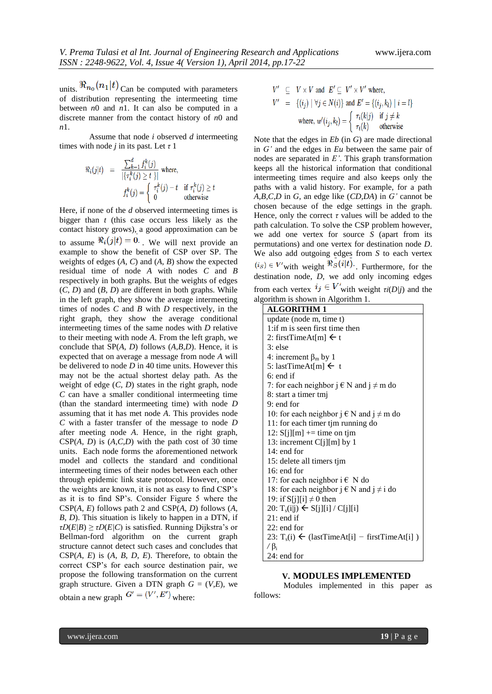units.  $\Re_{n_0}(n_1|t)$  Can be computed with parameters of distribution representing the intermeeting time between *n*0 and *n*1. It can also be computed in a discrete manner from the contact history of *n*0 and *n*1.

Assume that node *i* observed *d* intermeeting times with node *j* in its past. Let *τ* 1

$$
\Re_i(j|t) = \frac{\sum_{k=1}^d f_i^k(j)}{|\{\tau_i^k(j) \ge t\}|} \text{ where,}
$$
\n
$$
f_i^k(j) = \begin{cases} \tau_i^k(j) - t & \text{if } \tau_i^k(j) \ge t \\ 0 & \text{otherwise} \end{cases}
$$

Here, if none of the *d* observed intermeeting times is bigger than *t* (this case occurs less likely as the contact history grows), a good approximation can be to assume  $\Re_i(j|t) = 0$ . We will next provide an example to show the benefit of CSP over SP. The weights of edges  $(A, C)$  and  $(A, B)$  show the expected residual time of node *A* with nodes *C* and *B*  respectively in both graphs. But the weights of edges (*C*, *D*) and (*B*, *D*) are different in both graphs. While in the left graph, they show the average intermeeting times of nodes *C* and *B* with *D* respectively, in the right graph, they show the average conditional intermeeting times of the same nodes with *D* relative to their meeting with node *A*. From the left graph, we conclude that SP(*A*, *D*) follows (*A,B,D*). Hence, it is expected that on average a message from node *A* will be delivered to node *D* in 40 time units. However this may not be the actual shortest delay path. As the weight of edge  $(C, D)$  states in the right graph, node *C* can have a smaller conditional intermeeting time (than the standard intermeeting time) with node *D*  assuming that it has met node *A*. This provides node *C* with a faster transfer of the message to node *D*  after meeting node *A*. Hence, in the right graph, CSP(*A*, *D*) is (*A,C,D*) with the path cost of 30 time units. Each node forms the aforementioned network model and collects the standard and conditional intermeeting times of their nodes between each other through epidemic link state protocol. However, once the weights are known, it is not as easy to find CSP's as it is to find SP's. Consider Figure 5 where the CSP(*A*, *E*) follows path 2 and CSP(*A*, *D*) follows (*A*, *B*, *D*). This situation is likely to happen in a DTN, if  $\tau D(E/B) \geq \tau D(E/C)$  is satisfied. Running Dijkstra's or Bellman-ford algorithm on the current graph structure cannot detect such cases and concludes that CSP(*A*, *E*) is (*A*, *B*, *D*, *E*). Therefore, to obtain the correct CSP's for each source destination pair, we propose the following transformation on the current graph structure. Given a DTN graph  $G = (V,E)$ , we obtain a new graph  $G' = (V', E')$  where:

$$
V' \subseteq V \times V \text{ and } E' \subseteq V' \times V' \text{ where,}
$$
  
\n
$$
V' = \{(i_j) \mid \forall j \in N(i)\} \text{ and } E' = \{(i_j, k_l) \mid i = l\}
$$
  
\nwhere,  $w'(i_j, k_l) = \begin{cases} \tau_i(k|j) & \text{if } j \neq k \\ \tau_i(k) & \text{otherwise} \end{cases}$ 

Note that the edges in *Eb* (in *G*) are made directional in *G'* and the edges in *Eu* between the same pair of nodes are separated in *E'*. This graph transformation keeps all the historical information that conditional intermeeting times require and also keeps only the paths with a valid history. For example, for a path *A,B,C,D* in *G*, an edge like (*CD,DA*) in *G'* cannot be chosen because of the edge settings in the graph. Hence, only the correct  $\tau$  values will be added to the path calculation. To solve the CSP problem however, we add one vertex for source *S* (apart from its permutations) and one vertex for destination node *D*. We also add outgoing edges from *S* to each vertex  $(i_S) \in V'$  with weight  $\Re S(i|t)$ . Furthermore, for the destination node,  $D$ , we add only incoming edges from each vertex  $i_j \in V'$  with weight  $\tau_i(D_i)$  and the algorithm is shown in Algorithm 1.

| <b>ALGORITHM1</b>                                         |
|-----------------------------------------------------------|
| update (node m, time t)                                   |
| $1$ : if m is seen first time then                        |
| 2: firstTimeAt[m] $\leftarrow$ t                          |
| $3:$ else                                                 |
| 4: increment $\beta_m$ by 1                               |
| 5: lastTimeAt[m] $\leftarrow$ t                           |
| $6:$ end if                                               |
| 7: for each neighbor $j \in N$ and $j \neq m$ do          |
| 8: start a timer tmj                                      |
| $9:$ end for                                              |
| 10: for each neighbor $j \in N$ and $j \neq m$ do         |
| 11: for each timer tjm running do                         |
| 12: $S[i][m]$ += time on tjm                              |
| 13: increment $C[j][m]$ by 1                              |
| $14:$ end for                                             |
| 15: delete all timers tjm                                 |
| $16:$ end for                                             |
| 17: for each neighbor $i \in N$ do                        |
| 18: for each neighbor $j \in N$ and $j \neq i$ do         |
| 19: if S[j][i] $\neq$ 0 then                              |
| 20: T <sub>s</sub> (i j) ← S[j][i] / C[j][i]              |
| $21:$ end if                                              |
| $22:$ end for                                             |
| 23: T <sub>s</sub> (i) ← (lastTimeAt[i] – firstTimeAt[i]) |
| $\angle \beta_i$                                          |
| 24: end for                                               |

### **V. MODULES IMPLEMENTED**

Modules implemented in this paper as follows: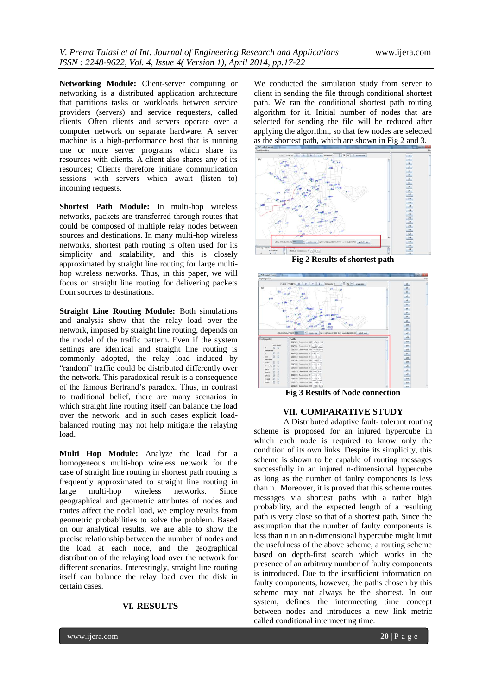**Networking Module:** Client-server computing or networking is a distributed application architecture that partitions tasks or workloads between service providers (servers) and service requesters, called clients. Often clients and servers operate over a computer network on separate hardware. A server machine is a high-performance host that is running one or more server programs which share its resources with clients. A client also shares any of its resources; Clients therefore initiate communication sessions with servers which await (listen to) incoming requests.

**Shortest Path Module:** In multi-hop wireless networks, packets are transferred through routes that could be composed of multiple relay nodes between sources and destinations. In many multi-hop wireless networks, shortest path routing is often used for its simplicity and scalability, and this is closely approximated by straight line routing for large multihop wireless networks. Thus, in this paper, we will focus on straight line routing for delivering packets from sources to destinations.

**Straight Line Routing Module:** Both simulations and analysis show that the relay load over the network, imposed by straight line routing, depends on the model of the traffic pattern. Even if the system settings are identical and straight line routing is commonly adopted, the relay load induced by "random" traffic could be distributed differently over the network. This paradoxical result is a consequence of the famous Bertrand's paradox. Thus, in contrast to traditional belief, there are many scenarios in which straight line routing itself can balance the load over the network, and in such cases explicit loadbalanced routing may not help mitigate the relaying load.

**Multi Hop Module:** Analyze the load for a homogeneous multi-hop wireless network for the case of straight line routing in shortest path routing is frequently approximated to straight line routing in large multi-hop wireless networks. Since geographical and geometric attributes of nodes and routes affect the nodal load, we employ results from geometric probabilities to solve the problem. Based on our analytical results, we are able to show the precise relationship between the number of nodes and the load at each node, and the geographical distribution of the relaying load over the network for different scenarios. Interestingly, straight line routing itself can balance the relay load over the disk in certain cases.

#### **VI. RESULTS**

We conducted the simulation study from server to client in sending the file through conditional shortest path. We ran the conditional shortest path routing algorithm for it. Initial number of nodes that are selected for sending the file will be reduced after applying the algorithm, so that few nodes are selected as the shortest path, which are shown in Fig 2 and 3.



**Fig 2 Results of shortest path**



# **Fig 3 Results of Node connection**

# **VII. COMPARATIVE STUDY**

A Distributed adaptive fault- tolerant routing scheme is proposed for an injured hypercube in which each node is required to know only the condition of its own links. Despite its simplicity, this scheme is shown to be capable of routing messages successfully in an injured n-dimensional hypercube as long as the number of faulty components is less than n. Moreover, it is proved that this scheme routes messages via shortest paths with a rather high probability, and the expected length of a resulting path is very close so that of a shortest path. Since the assumption that the number of faulty components is less than n in an n-dimensional hypercube might limit the usefulness of the above scheme, a routing scheme based on depth-first search which works in the presence of an arbitrary number of faulty components is introduced. Due to the insufficient information on faulty components, however, the paths chosen by this scheme may not always be the shortest. In our system, defines the intermeeting time concept between nodes and introduces a new link metric called conditional intermeeting time.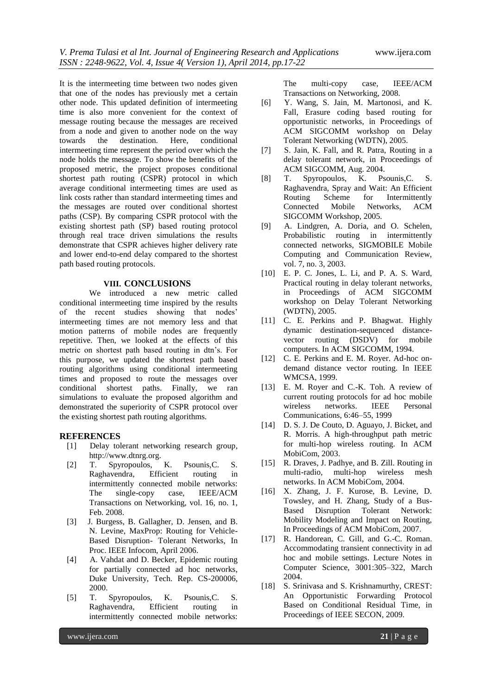It is the intermeeting time between two nodes given that one of the nodes has previously met a certain other node. This updated definition of intermeeting time is also more convenient for the context of message routing because the messages are received from a node and given to another node on the way towards the destination. Here, conditional intermeeting time represent the period over which the node holds the message. To show the benefits of the proposed metric, the project proposes conditional shortest path routing (CSPR) protocol in which average conditional intermeeting times are used as link costs rather than standard intermeeting times and the messages are routed over conditional shortest paths (CSP). By comparing CSPR protocol with the existing shortest path (SP) based routing protocol through real trace driven simulations the results demonstrate that CSPR achieves higher delivery rate and lower end-to-end delay compared to the shortest path based routing protocols.

#### **VIII. CONCLUSIONS**

We introduced a new metric called conditional intermeeting time inspired by the results of the recent studies showing that nodes' intermeeting times are not memory less and that motion patterns of mobile nodes are frequently repetitive. Then, we looked at the effects of this metric on shortest path based routing in dtn's. For this purpose, we updated the shortest path based routing algorithms using conditional intermeeting times and proposed to route the messages over conditional shortest paths. Finally, we ran simulations to evaluate the proposed algorithm and demonstrated the superiority of CSPR protocol over the existing shortest path routing algorithms.

#### **REFERENCES**

- [1] Delay tolerant networking research group, http://www.dtnrg.org.
- [2] T. Spyropoulos, K. Psounis,C. S. Raghavendra, Efficient routing in intermittently connected mobile networks: The single-copy case, IEEE/ACM Transactions on Networking, vol. 16, no. 1, Feb. 2008.
- [3] J. Burgess, B. Gallagher, D. Jensen, and B. N. Levine, MaxProp: Routing for Vehicle-Based Disruption- Tolerant Networks, In Proc. IEEE Infocom, April 2006.
- [4] A. Vahdat and D. Becker, Epidemic routing for partially connected ad hoc networks, Duke University, Tech. Rep. CS-200006, 2000.
- [5] T. Spyropoulos, K. Psounis,C. S. Raghavendra, Efficient routing in intermittently connected mobile networks:

The multi-copy case, IEEE/ACM Transactions on Networking, 2008.

- [6] Y. Wang, S. Jain, M. Martonosi, and K. Fall, Erasure coding based routing for opportunistic networks, in Proceedings of ACM SIGCOMM workshop on Delay Tolerant Networking (WDTN), 2005.
- [7] S. Jain, K. Fall, and R. Patra, Routing in a delay tolerant network, in Proceedings of ACM SIGCOMM, Aug. 2004.
- [8] T. Spyropoulos, K. Psounis,C. S. Raghavendra, Spray and Wait: An Efficient Routing Scheme for Intermittently Connected Mobile Networks, ACM SIGCOMM Workshop, 2005.
- [9] A. Lindgren, A. Doria, and O. Schelen, Probabilistic routing in intermittently connected networks, SIGMOBILE Mobile Computing and Communication Review, vol. 7, no. 3, 2003.
- [10] E. P. C. Jones, L. Li, and P. A. S. Ward, Practical routing in delay tolerant networks, in Proceedings of ACM SIGCOMM workshop on Delay Tolerant Networking (WDTN), 2005.
- [11] C. E. Perkins and P. Bhagwat. Highly dynamic destination-sequenced distancevector routing (DSDV) for mobile computers. In ACM SIGCOMM, 1994.
- [12] C. E. Perkins and E. M. Royer. Ad-hoc ondemand distance vector routing. In IEEE WMCSA, 1999.
- [13] E. M. Royer and C.-K. Toh. A review of current routing protocols for ad hoc mobile wireless networks. IEEE Personal Communications, 6:46–55, 1999
- [14] D. S. J. De Couto, D. Aguayo, J. Bicket, and R. Morris. A high-throughput path metric for multi-hop wireless routing. In ACM MobiCom, 2003.
- [15] R. Draves, J. Padhye, and B. Zill. Routing in multi-radio, multi-hop wireless mesh networks. In ACM MobiCom, 2004.
- [16] X. Zhang, J. F. Kurose, B. Levine, D. Towsley, and H. Zhang, Study of a Bus-Based Disruption Tolerant Network: Mobility Modeling and Impact on Routing, In Proceedings of ACM MobiCom, 2007.
- [17] R. Handorean, C. Gill, and G.-C. Roman. Accommodating transient connectivity in ad hoc and mobile settings. Lecture Notes in Computer Science, 3001:305–322, March 2004.
- [18] S. Srinivasa and S. Krishnamurthy, CREST: An Opportunistic Forwarding Protocol Based on Conditional Residual Time, in Proceedings of IEEE SECON, 2009.